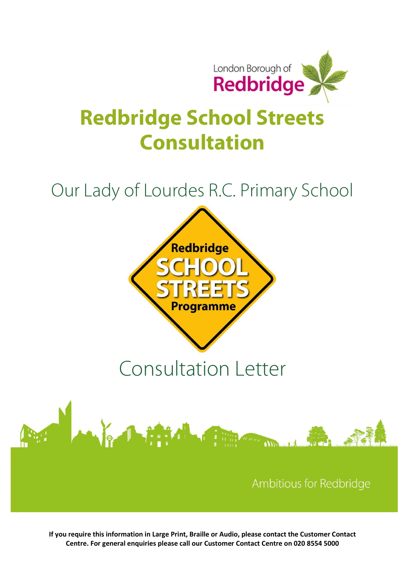

# Redbridge School Streets Consultation

## Our Lady of Lourdes R.C. Primary School



If you require this information in Large Print, Braille or Audio, please contact the Customer Contact Centre. For general enquiries please call our Customer Contact Centre on 020 8554 5000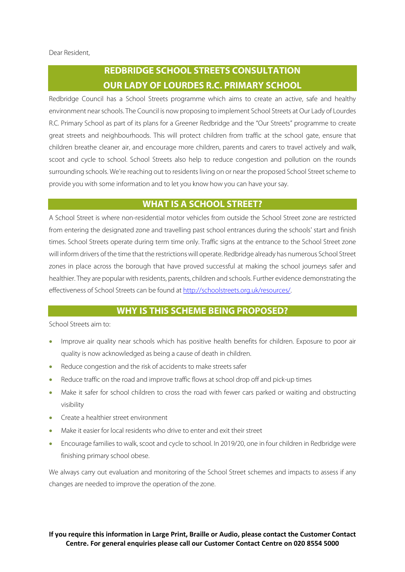### REDBRIDGE SCHOOL STREETS CONSULTATION OUR LADY OF LOURDES R.C. PRIMARY SCHOOL

Redbridge Council has a School Streets programme which aims to create an active, safe and healthy environment near schools. The Council is now proposing to implement School Streets at Our Lady of Lourdes R.C. Primary School as part of its plans for a Greener Redbridge and the "Our Streets" programme to create great streets and neighbourhoods. This will protect children from traffic at the school gate, ensure that children breathe cleaner air, and encourage more children, parents and carers to travel actively and walk, scoot and cycle to school. School Streets also help to reduce congestion and pollution on the rounds surrounding schools. We're reaching out to residents living on or near the proposed School Street scheme to provide you with some information and to let you know how you can have your say.

#### WHAT IS A SCHOOL STREET?

A School Street is where non-residential motor vehicles from outside the School Street zone are restricted from entering the designated zone and travelling past school entrances during the schools' start and finish times. School Streets operate during term time only. Traffic signs at the entrance to the School Street zone will inform drivers of the time that the restrictions will operate. Redbridge already has numerous School Street zones in place across the borough that have proved successful at making the school journeys safer and healthier. They are popular with residents, parents, children and schools. Further evidence demonstrating the effectiveness of School Streets can be found at http://schoolstreets.org.uk/resources/.

#### WHY IS THIS SCHEME BEING PROPOSED?

School Streets aim to:

- Improve air quality near schools which has positive health benefits for children. Exposure to poor air quality is now acknowledged as being a cause of death in children.
- Reduce congestion and the risk of accidents to make streets safer
- Reduce traffic on the road and improve traffic flows at school drop off and pick-up times
- Make it safer for school children to cross the road with fewer cars parked or waiting and obstructing visibility
- **•** Create a healthier street environment
- Make it easier for local residents who drive to enter and exit their street
- Encourage families to walk, scoot and cycle to school. In 2019/20, one in four children in Redbridge were finishing primary school obese.

We always carry out evaluation and monitoring of the School Street schemes and impacts to assess if any changes are needed to improve the operation of the zone.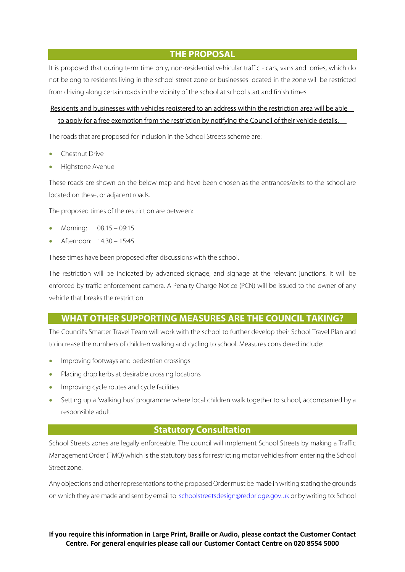THE PROPOSAL

It is proposed that during term time only, non-residential vehicular traffic - cars, vans and lorries, which do not belong to residents living in the school street zone or businesses located in the zone will be restricted from driving along certain roads in the vicinity of the school at school start and finish times.

#### Residents and businesses with vehicles registered to an address within the restriction area will be able to apply for a free exemption from the restriction by notifying the Council of their vehicle details.

The roads that are proposed for inclusion in the School Streets scheme are:

- Chestnut Drive
- Highstone Avenue

These roads are shown on the below map and have been chosen as the entrances/exits to the school are located on these, or adjacent roads.

The proposed times of the restriction are between:

- Morning: 08.15 09:15
- Afternoon: 14.30 15:45

These times have been proposed after discussions with the school.

The restriction will be indicated by advanced signage, and signage at the relevant junctions. It will be enforced by traffic enforcement camera. A Penalty Charge Notice (PCN) will be issued to the owner of any vehicle that breaks the restriction.

#### WHAT OTHER SUPPORTING MEASURES ARE THE COUNCIL TAKING?

The Council's Smarter Travel Team will work with the school to further develop their School Travel Plan and to increase the numbers of children walking and cycling to school. Measures considered include:

- Improving footways and pedestrian crossings
- Placing drop kerbs at desirable crossing locations
- Improving cycle routes and cycle facilities
- Setting up a 'walking bus' programme where local children walk together to school, accompanied by a responsible adult.

#### Statutory Consultation

School Streets zones are legally enforceable. The council will implement School Streets by making a Traffic Management Order (TMO) which is the statutory basis for restricting motor vehicles from entering the School Street zone.

Any objections and other representations to the proposed Order must be made in writing stating the grounds on which they are made and sent by email to: schoolstreetsdesign@redbridge.gov.uk or by writing to: School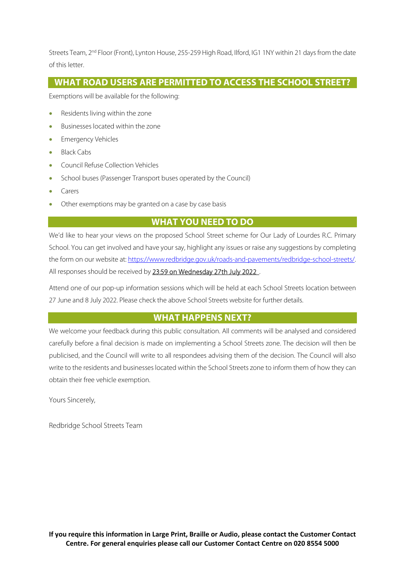Streets Team, 2<sup>nd</sup> Floor (Front), Lynton House, 255-259 High Road, Ilford, IG1 1NY within 21 days from the date of this letter.

#### WHAT ROAD USERS ARE PERMITTED TO ACCESS THE SCHOOL STREET?

Exemptions will be available for the following:

- Residents living within the zone
- Businesses located within the zone
- Emergency Vehicles
- Black Cabs
- Council Refuse Collection Vehicles
- School buses (Passenger Transport buses operated by the Council)
- Carers
- Other exemptions may be granted on a case by case basis

#### WHAT YOU NEED TO DO

We'd like to hear your views on the proposed School Street scheme for Our Lady of Lourdes R.C. Primary School. You can get involved and have your say, highlight any issues or raise any suggestions by completing the form on our website at: https://www.redbridge.gov.uk/roads-and-pavements/redbridge-school-streets/. All responses should be received by 23:59 on Wednesday 27th July 2022.

Attend one of our pop-up information sessions which will be held at each School Streets location between 27 June and 8 July 2022. Please check the above School Streets website for further details.

#### WHAT HAPPENS NEXT?

We welcome your feedback during this public consultation. All comments will be analysed and considered carefully before a final decision is made on implementing a School Streets zone. The decision will then be publicised, and the Council will write to all respondees advising them of the decision. The Council will also write to the residents and businesses located within the School Streets zone to inform them of how they can obtain their free vehicle exemption.

Yours Sincerely,

Redbridge School Streets Team